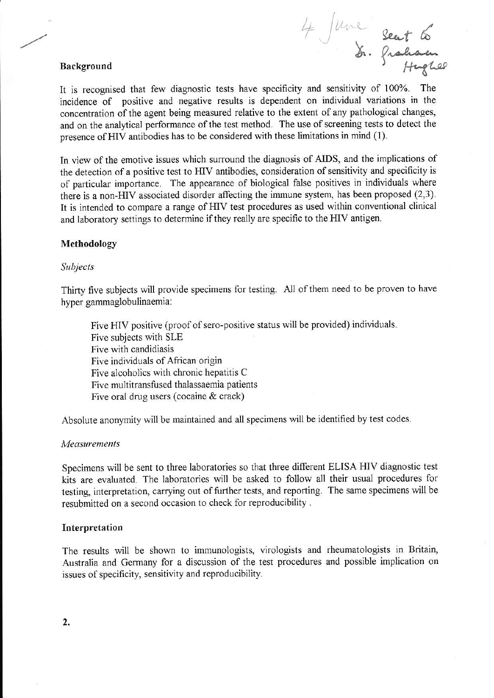

It is recognised that few diagnostic tests have specificity and sensitivity of 100%. incidence of positive and negative results is dependent on individual variations in the concentration of the agent being measured relative to the extent of any pathological changes, and on the analytical performance of the test method. The use of screening tests to detect the presence of HIV antibodies has to be considered with these limitations in mind (1).

In view of the emotive issues which surround the diagnosis of AIDS, and the implications of the detection of a positive test to HIV antibodies, consideration of sensitivity and specificity is of particular importance. The appearance of biological false positives in individuals where there is a non-HIV associated disorder affecting the immune system, has been proposed  $(2,3)$ . It is intended to compare a range of HIV test procedures as used within conventional clinical and laboratory settings to determine if they really are specific to the HIV antigen.

# Methodology

# Subjects

Thirty five subjects will provide specimens for testing. All of them need to be proven to have hyper gammaglobulinaemia:

Five HIV positive (proof of sero-positive status will be provided) individuals. Five subjects with SLE Five with candidiasis Five individuals of African origin Five alcoholics with chronic hepatitis C Five multitransfused thalassaemia patients Five oral drug users (cocaine & crack)

Absolute anonymity will be maintained and all specimens will be identified by test codes.

# Measurements

Specimens will be sent to three laboratories so that three different ELISA HIV diagnostic test kits are evaluated. The laboratories will be asked to follow all their usual procedures for testing, interpretation, carrying out of further tests, and reporting. The same specimens will be resubmitted on a second occasion to check for reproducibility .

# Interpretation

The results will be shown to immunologists, virologists and rheumatologists in Britain, Australia and Germany for a discussion of the test procedures and possible implication on issues of specificity, sensitivity and reproducibility.